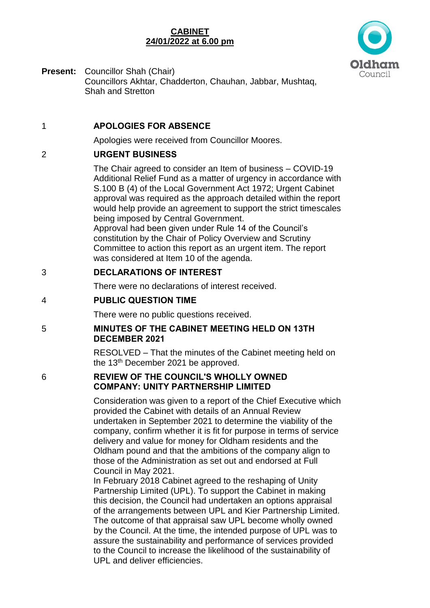### **CABINET 24/01/2022 at 6.00 pm**



**Present:** Councillor Shah (Chair) Councillors Akhtar, Chadderton, Chauhan, Jabbar, Mushtaq, Shah and Stretton

### 1 **APOLOGIES FOR ABSENCE**

Apologies were received from Councillor Moores.

## 2 **URGENT BUSINESS**

The Chair agreed to consider an Item of business – COVID-19 Additional Relief Fund as a matter of urgency in accordance with S.100 B (4) of the Local Government Act 1972; Urgent Cabinet approval was required as the approach detailed within the report would help provide an agreement to support the strict timescales being imposed by Central Government.

Approval had been given under Rule 14 of the Council's constitution by the Chair of Policy Overview and Scrutiny Committee to action this report as an urgent item. The report was considered at Item 10 of the agenda.

### 3 **DECLARATIONS OF INTEREST**

There were no declarations of interest received.

# 4 **PUBLIC QUESTION TIME**

There were no public questions received.

### 5 **MINUTES OF THE CABINET MEETING HELD ON 13TH DECEMBER 2021**

RESOLVED – That the minutes of the Cabinet meeting held on the 13th December 2021 be approved.

### 6 **REVIEW OF THE COUNCIL'S WHOLLY OWNED COMPANY: UNITY PARTNERSHIP LIMITED**

Consideration was given to a report of the Chief Executive which provided the Cabinet with details of an Annual Review undertaken in September 2021 to determine the viability of the company, confirm whether it is fit for purpose in terms of service delivery and value for money for Oldham residents and the Oldham pound and that the ambitions of the company align to those of the Administration as set out and endorsed at Full Council in May 2021.

In February 2018 Cabinet agreed to the reshaping of Unity Partnership Limited (UPL). To support the Cabinet in making this decision, the Council had undertaken an options appraisal of the arrangements between UPL and Kier Partnership Limited. The outcome of that appraisal saw UPL become wholly owned by the Council. At the time, the intended purpose of UPL was to assure the sustainability and performance of services provided to the Council to increase the likelihood of the sustainability of UPL and deliver efficiencies.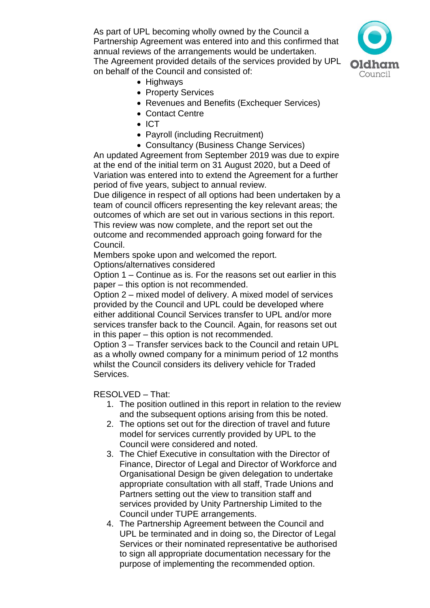As part of UPL becoming wholly owned by the Council a Partnership Agreement was entered into and this confirmed that annual reviews of the arrangements would be undertaken. The Agreement provided details of the services provided by UPL on behalf of the Council and consisted of:



- Highways
- Property Services
- Revenues and Benefits (Exchequer Services)
- Contact Centre
- $\bullet$  ICT
- Payroll (including Recruitment)
- Consultancy (Business Change Services)

An updated Agreement from September 2019 was due to expire at the end of the initial term on 31 August 2020, but a Deed of Variation was entered into to extend the Agreement for a further period of five years, subject to annual review.

Due diligence in respect of all options had been undertaken by a team of council officers representing the key relevant areas; the outcomes of which are set out in various sections in this report. This review was now complete, and the report set out the outcome and recommended approach going forward for the Council.

Members spoke upon and welcomed the report.

Options/alternatives considered

Option 1 – Continue as is. For the reasons set out earlier in this paper – this option is not recommended.

Option 2 – mixed model of delivery. A mixed model of services provided by the Council and UPL could be developed where either additional Council Services transfer to UPL and/or more services transfer back to the Council. Again, for reasons set out in this paper – this option is not recommended.

Option 3 – Transfer services back to the Council and retain UPL as a wholly owned company for a minimum period of 12 months whilst the Council considers its delivery vehicle for Traded Services.

RESOLVED – That:

- 1. The position outlined in this report in relation to the review and the subsequent options arising from this be noted.
- 2. The options set out for the direction of travel and future model for services currently provided by UPL to the Council were considered and noted.
- 3. The Chief Executive in consultation with the Director of Finance, Director of Legal and Director of Workforce and Organisational Design be given delegation to undertake appropriate consultation with all staff, Trade Unions and Partners setting out the view to transition staff and services provided by Unity Partnership Limited to the Council under TUPE arrangements.
- 4. The Partnership Agreement between the Council and UPL be terminated and in doing so, the Director of Legal Services or their nominated representative be authorised to sign all appropriate documentation necessary for the purpose of implementing the recommended option.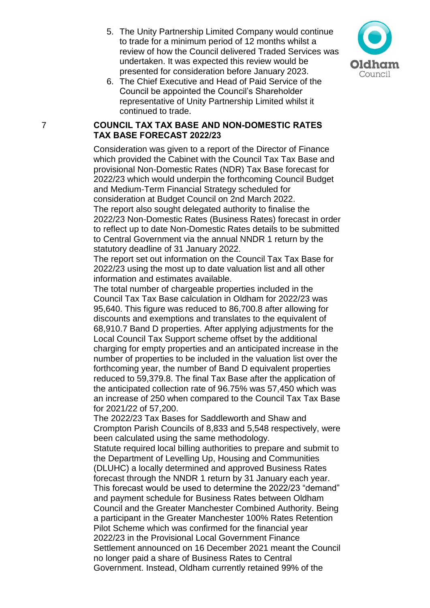5. The Unity Partnership Limited Company would continue to trade for a minimum period of 12 months whilst a review of how the Council delivered Traded Services was undertaken. It was expected this review would be presented for consideration before January 2023.



6. The Chief Executive and Head of Paid Service of the Council be appointed the Council's Shareholder representative of Unity Partnership Limited whilst it continued to trade.

#### 7 **COUNCIL TAX TAX BASE AND NON-DOMESTIC RATES TAX BASE FORECAST 2022/23**

Consideration was given to a report of the Director of Finance which provided the Cabinet with the Council Tax Tax Base and provisional Non-Domestic Rates (NDR) Tax Base forecast for 2022/23 which would underpin the forthcoming Council Budget and Medium-Term Financial Strategy scheduled for consideration at Budget Council on 2nd March 2022. The report also sought delegated authority to finalise the 2022/23 Non-Domestic Rates (Business Rates) forecast in order to reflect up to date Non-Domestic Rates details to be submitted to Central Government via the annual NNDR 1 return by the statutory deadline of 31 January 2022.

The report set out information on the Council Tax Tax Base for 2022/23 using the most up to date valuation list and all other information and estimates available.

The total number of chargeable properties included in the Council Tax Tax Base calculation in Oldham for 2022/23 was 95,640. This figure was reduced to 86,700.8 after allowing for discounts and exemptions and translates to the equivalent of 68,910.7 Band D properties. After applying adjustments for the Local Council Tax Support scheme offset by the additional charging for empty properties and an anticipated increase in the number of properties to be included in the valuation list over the forthcoming year, the number of Band D equivalent properties reduced to 59,379.8. The final Tax Base after the application of the anticipated collection rate of 96.75% was 57,450 which was an increase of 250 when compared to the Council Tax Tax Base for 2021/22 of 57,200.

The 2022/23 Tax Bases for Saddleworth and Shaw and Crompton Parish Councils of 8,833 and 5,548 respectively, were been calculated using the same methodology.

Statute required local billing authorities to prepare and submit to the Department of Levelling Up, Housing and Communities (DLUHC) a locally determined and approved Business Rates forecast through the NNDR 1 return by 31 January each year. This forecast would be used to determine the 2022/23 "demand" and payment schedule for Business Rates between Oldham Council and the Greater Manchester Combined Authority. Being a participant in the Greater Manchester 100% Rates Retention Pilot Scheme which was confirmed for the financial year 2022/23 in the Provisional Local Government Finance Settlement announced on 16 December 2021 meant the Council no longer paid a share of Business Rates to Central Government. Instead, Oldham currently retained 99% of the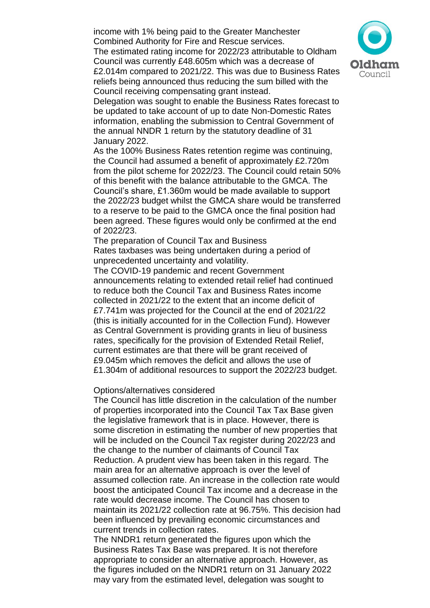income with 1% being paid to the Greater Manchester Combined Authority for Fire and Rescue services. The estimated rating income for 2022/23 attributable to Oldham Council was currently £48.605m which was a decrease of £2.014m compared to 2021/22. This was due to Business Rates reliefs being announced thus reducing the sum billed with the Council receiving compensating grant instead.



Delegation was sought to enable the Business Rates forecast to be updated to take account of up to date Non-Domestic Rates information, enabling the submission to Central Government of the annual NNDR 1 return by the statutory deadline of 31 January 2022.

As the 100% Business Rates retention regime was continuing, the Council had assumed a benefit of approximately £2.720m from the pilot scheme for 2022/23. The Council could retain 50% of this benefit with the balance attributable to the GMCA. The Council's share, £1.360m would be made available to support the 2022/23 budget whilst the GMCA share would be transferred to a reserve to be paid to the GMCA once the final position had been agreed. These figures would only be confirmed at the end of 2022/23.

The preparation of Council Tax and Business Rates taxbases was being undertaken during a period of unprecedented uncertainty and volatility.

The COVID-19 pandemic and recent Government announcements relating to extended retail relief had continued to reduce both the Council Tax and Business Rates income collected in 2021/22 to the extent that an income deficit of £7.741m was projected for the Council at the end of 2021/22 (this is initially accounted for in the Collection Fund). However as Central Government is providing grants in lieu of business rates, specifically for the provision of Extended Retail Relief, current estimates are that there will be grant received of £9.045m which removes the deficit and allows the use of £1.304m of additional resources to support the 2022/23 budget.

#### Options/alternatives considered

The Council has little discretion in the calculation of the number of properties incorporated into the Council Tax Tax Base given the legislative framework that is in place. However, there is some discretion in estimating the number of new properties that will be included on the Council Tax register during 2022/23 and the change to the number of claimants of Council Tax Reduction. A prudent view has been taken in this regard. The main area for an alternative approach is over the level of assumed collection rate. An increase in the collection rate would boost the anticipated Council Tax income and a decrease in the rate would decrease income. The Council has chosen to maintain its 2021/22 collection rate at 96.75%. This decision had been influenced by prevailing economic circumstances and current trends in collection rates.

The NNDR1 return generated the figures upon which the Business Rates Tax Base was prepared. It is not therefore appropriate to consider an alternative approach. However, as the figures included on the NNDR1 return on 31 January 2022 may vary from the estimated level, delegation was sought to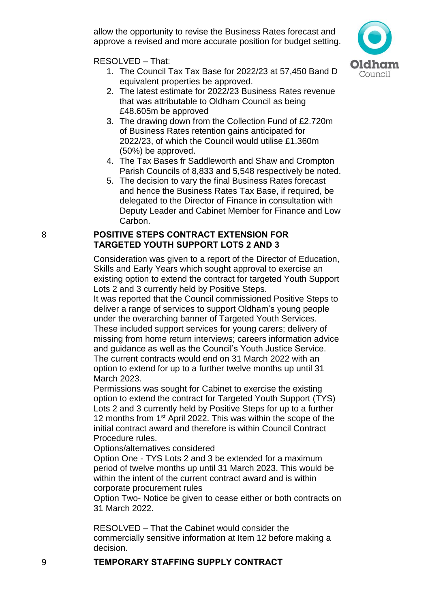allow the opportunity to revise the Business Rates forecast and approve a revised and more accurate position for budget setting.

RESOLVED – That:

1. The Council Tax Tax Base for 2022/23 at 57,450 Band D equivalent properties be approved.

Council

- 2. The latest estimate for 2022/23 Business Rates revenue that was attributable to Oldham Council as being £48.605m be approved
- 3. The drawing down from the Collection Fund of £2.720m of Business Rates retention gains anticipated for 2022/23, of which the Council would utilise £1.360m (50%) be approved.
- 4. The Tax Bases fr Saddleworth and Shaw and Crompton Parish Councils of 8,833 and 5,548 respectively be noted.
- 5. The decision to vary the final Business Rates forecast and hence the Business Rates Tax Base, if required, be delegated to the Director of Finance in consultation with Deputy Leader and Cabinet Member for Finance and Low Carbon.

### 8 **POSITIVE STEPS CONTRACT EXTENSION FOR TARGETED YOUTH SUPPORT LOTS 2 AND 3**

Consideration was given to a report of the Director of Education, Skills and Early Years which sought approval to exercise an existing option to extend the contract for targeted Youth Support Lots 2 and 3 currently held by Positive Steps.

It was reported that the Council commissioned Positive Steps to deliver a range of services to support Oldham's young people under the overarching banner of Targeted Youth Services. These included support services for young carers; delivery of missing from home return interviews; careers information advice and guidance as well as the Council's Youth Justice Service. The current contracts would end on 31 March 2022 with an option to extend for up to a further twelve months up until 31 March 2023.

Permissions was sought for Cabinet to exercise the existing option to extend the contract for Targeted Youth Support (TYS) Lots 2 and 3 currently held by Positive Steps for up to a further 12 months from 1<sup>st</sup> April 2022. This was within the scope of the initial contract award and therefore is within Council Contract Procedure rules.

Options/alternatives considered

Option One - TYS Lots 2 and 3 be extended for a maximum period of twelve months up until 31 March 2023. This would be within the intent of the current contract award and is within corporate procurement rules

Option Two- Notice be given to cease either or both contracts on 31 March 2022.

RESOLVED – That the Cabinet would consider the commercially sensitive information at Item 12 before making a decision.

## 9 **TEMPORARY STAFFING SUPPLY CONTRACT**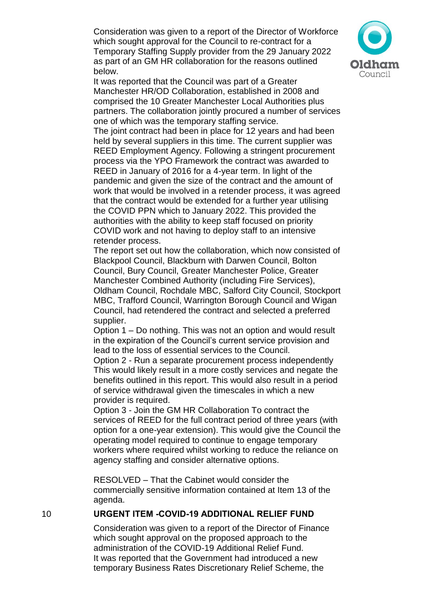Consideration was given to a report of the Director of Workforce which sought approval for the Council to re-contract for a Temporary Staffing Supply provider from the 29 January 2022 as part of an GM HR collaboration for the reasons outlined below.



It was reported that the Council was part of a Greater Manchester HR/OD Collaboration, established in 2008 and comprised the 10 Greater Manchester Local Authorities plus partners. The collaboration jointly procured a number of services one of which was the temporary staffing service.

The joint contract had been in place for 12 years and had been held by several suppliers in this time. The current supplier was REED Employment Agency. Following a stringent procurement process via the YPO Framework the contract was awarded to REED in January of 2016 for a 4-year term. In light of the pandemic and given the size of the contract and the amount of work that would be involved in a retender process, it was agreed that the contract would be extended for a further year utilising the COVID PPN which to January 2022. This provided the authorities with the ability to keep staff focused on priority COVID work and not having to deploy staff to an intensive retender process.

The report set out how the collaboration, which now consisted of Blackpool Council, Blackburn with Darwen Council, Bolton Council, Bury Council, Greater Manchester Police, Greater Manchester Combined Authority (including Fire Services), Oldham Council, Rochdale MBC, Salford City Council, Stockport MBC, Trafford Council, Warrington Borough Council and Wigan Council, had retendered the contract and selected a preferred supplier.

Option 1 – Do nothing. This was not an option and would result in the expiration of the Council's current service provision and lead to the loss of essential services to the Council.

Option 2 - Run a separate procurement process independently This would likely result in a more costly services and negate the benefits outlined in this report. This would also result in a period of service withdrawal given the timescales in which a new provider is required.

Option 3 - Join the GM HR Collaboration To contract the services of REED for the full contract period of three years (with option for a one-year extension). This would give the Council the operating model required to continue to engage temporary workers where required whilst working to reduce the reliance on agency staffing and consider alternative options.

RESOLVED – That the Cabinet would consider the commercially sensitive information contained at Item 13 of the agenda.

### 10 **URGENT ITEM -COVID-19 ADDITIONAL RELIEF FUND**

Consideration was given to a report of the Director of Finance which sought approval on the proposed approach to the administration of the COVID-19 Additional Relief Fund. It was reported that the Government had introduced a new temporary Business Rates Discretionary Relief Scheme, the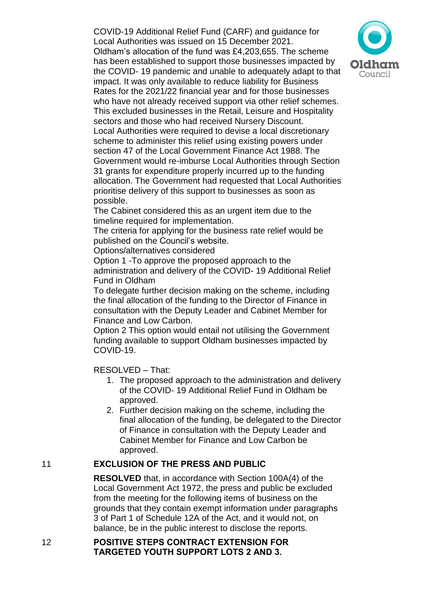COVID-19 Additional Relief Fund (CARF) and guidance for Local Authorities was issued on 15 December 2021. Oldham's allocation of the fund was £4,203,655. The scheme has been established to support those businesses impacted by the COVID- 19 pandemic and unable to adequately adapt to that impact. It was only available to reduce liability for Business Rates for the 2021/22 financial year and for those businesses who have not already received support via other relief schemes. This excluded businesses in the Retail, Leisure and Hospitality sectors and those who had received Nursery Discount. Local Authorities were required to devise a local discretionary scheme to administer this relief using existing powers under section 47 of the Local Government Finance Act 1988. The Government would re-imburse Local Authorities through Section 31 grants for expenditure properly incurred up to the funding allocation. The Government had requested that Local Authorities prioritise delivery of this support to businesses as soon as possible.

The Cabinet considered this as an urgent item due to the timeline required for implementation.

The criteria for applying for the business rate relief would be published on the Council's website.

Options/alternatives considered

Option 1 -To approve the proposed approach to the administration and delivery of the COVID- 19 Additional Relief Fund in Oldham

To delegate further decision making on the scheme, including the final allocation of the funding to the Director of Finance in consultation with the Deputy Leader and Cabinet Member for Finance and Low Carbon.

Option 2 This option would entail not utilising the Government funding available to support Oldham businesses impacted by COVID-19.

RESOLVED – That:

- 1. The proposed approach to the administration and delivery of the COVID- 19 Additional Relief Fund in Oldham be approved.
- 2. Further decision making on the scheme, including the final allocation of the funding, be delegated to the Director of Finance in consultation with the Deputy Leader and Cabinet Member for Finance and Low Carbon be approved.

### 11 **EXCLUSION OF THE PRESS AND PUBLIC**

**RESOLVED** that, in accordance with Section 100A(4) of the Local Government Act 1972, the press and public be excluded from the meeting for the following items of business on the grounds that they contain exempt information under paragraphs 3 of Part 1 of Schedule 12A of the Act, and it would not, on balance, be in the public interest to disclose the reports.

12 **POSITIVE STEPS CONTRACT EXTENSION FOR TARGETED YOUTH SUPPORT LOTS 2 AND 3.**